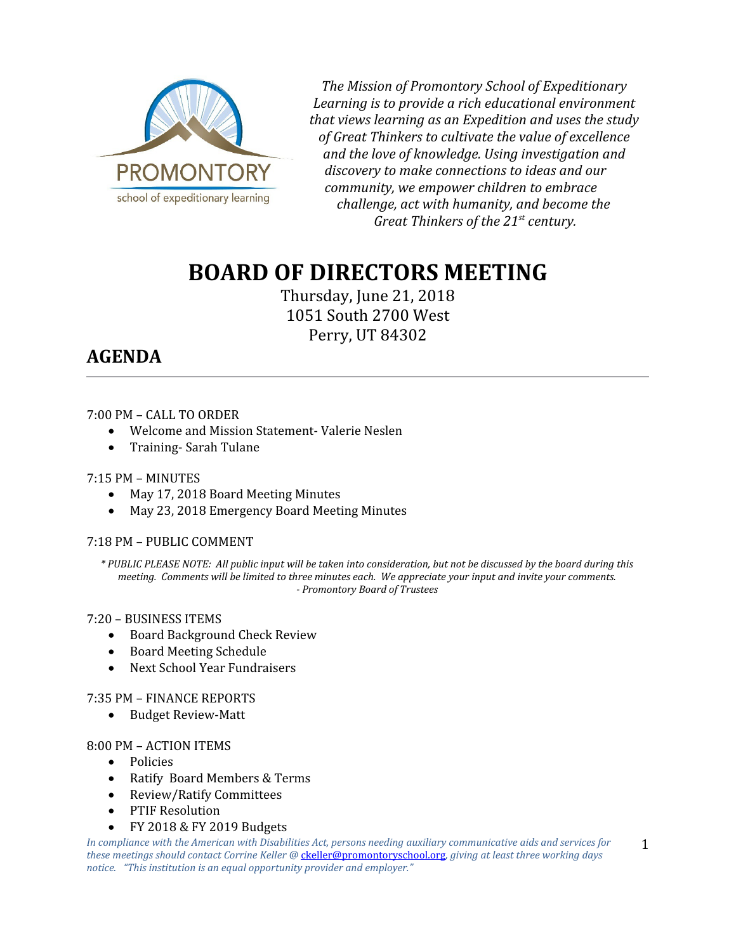

*The Mission of Promontory School of Expeditionary Learning is to provide a rich educational environment that views learning as an Expedition and uses the study of Great Thinkers to cultivate the value of excellence and the love of knowledge. Using investigation and discovery to make connections to ideas and our community, we empower children to embrace challenge, act with humanity, and become the Great Thinkers of the 21st century.*

# **BOARD OF DIRECTORS MEETING**

Thursday, June 21, 2018 1051 South 2700 West Perry, UT 84302

# **AGENDA**

# 7:00 PM – CALL TO ORDER

- Welcome and Mission Statement- Valerie Neslen
- Training- Sarah Tulane

# 7:15 PM – MINUTES

- May 17, 2018 Board Meeting Minutes
- May 23, 2018 Emergency Board Meeting Minutes

# 7:18 PM – PUBLIC COMMENT

*\* PUBLIC PLEASE NOTE: All public input will be taken into consideration, but not be discussed by the board during this meeting. Comments will be limited to three minutes each. We appreciate your input and invite your comments. - Promontory Board of Trustees*

# 7:20 – BUSINESS ITEMS

- Board Background Check Review
- Board Meeting Schedule
- Next School Year Fundraisers

# 7:35 PM – FINANCE REPORTS

• Budget Review-Matt

#### 8:00 PM – ACTION ITEMS

- Policies
- Ratify Board Members & Terms
- Review/Ratify Committees
- PTIF Resolution
- FY 2018 & FY 2019 Budgets

*In compliance with the American with Disabilities Act, persons needing auxiliary communicative aids and services for these meetings should contact Corrine Keller @* [ckeller@promontoryschool.org](mailto:ckeller@promontoryschool.org)*, giving at least three working days notice. "This institution is an equal opportunity provider and employer."*

1